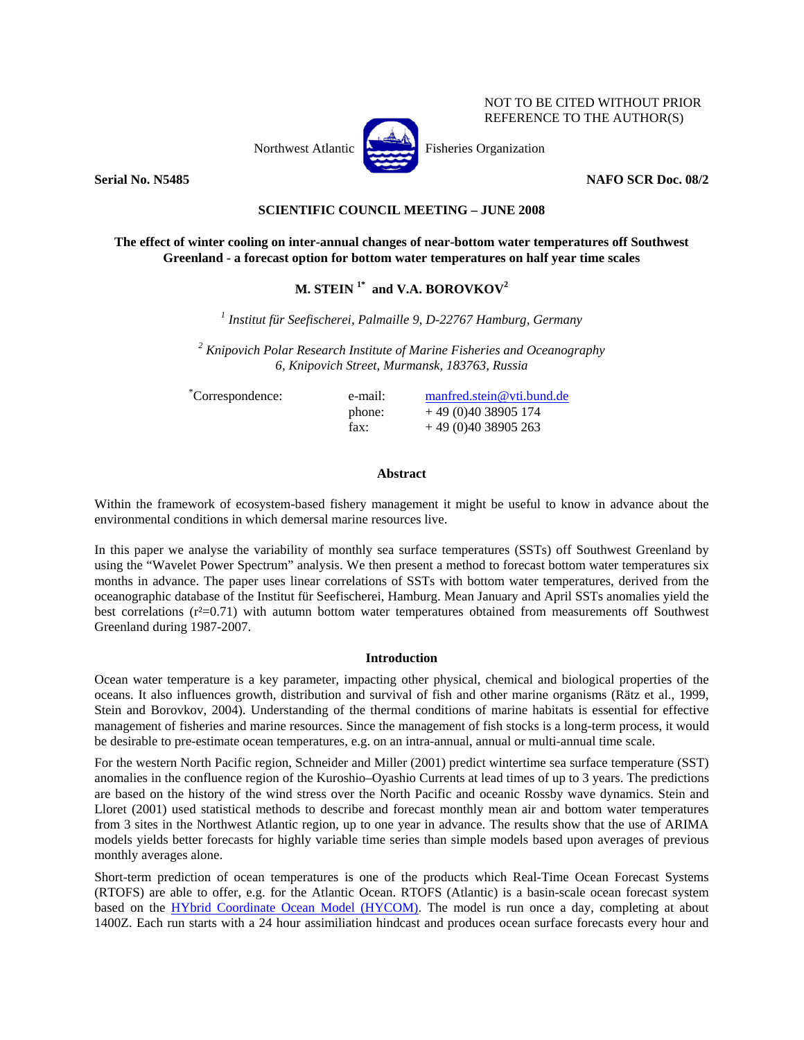

NOT TO BE CITED WITHOUT PRIOR REFERENCE TO THE AUTHOR(S)

**Serial No. N5485 NAFO SCR Doc. 08/2** 

# **SCIENTIFIC COUNCIL MEETING – JUNE 2008**

# **The effect of winter cooling on inter-annual changes of near-bottom water temperatures off Southwest Greenland - a forecast option for bottom water temperatures on half year time scales**

# **M. STEIN 1\* and V.A. BOROVKOV2**

*1 Institut für Seefischerei, Palmaille 9, D-22767 Hamburg, Germany* 

*2 Knipovich Polar Research Institute of Marine Fisheries and Oceanography 6, Knipovich Street, Murmansk, 183763, Russia*

\*Correspondence: e-mail: manfred.stein@vti.bund.de phone:  $+49(0)4038905174$ fax:  $+49(0)4038905263$ 

## **Abstract**

Within the framework of ecosystem-based fishery management it might be useful to know in advance about the environmental conditions in which demersal marine resources live.

In this paper we analyse the variability of monthly sea surface temperatures (SSTs) off Southwest Greenland by using the "Wavelet Power Spectrum" analysis. We then present a method to forecast bottom water temperatures six months in advance. The paper uses linear correlations of SSTs with bottom water temperatures, derived from the oceanographic database of the Institut für Seefischerei, Hamburg. Mean January and April SSTs anomalies yield the best correlations  $(r^2=0.71)$  with autumn bottom water temperatures obtained from measurements off Southwest Greenland during 1987-2007.

### **Introduction**

Ocean water temperature is a key parameter, impacting other physical, chemical and biological properties of the oceans. It also influences growth, distribution and survival of fish and other marine organisms (Rätz et al., 1999, Stein and Borovkov, 2004). Understanding of the thermal conditions of marine habitats is essential for effective management of fisheries and marine resources. Since the management of fish stocks is a long-term process, it would be desirable to pre-estimate ocean temperatures, e.g. on an intra-annual, annual or multi-annual time scale.

For the western North Pacific region, Schneider and Miller (2001) predict wintertime sea surface temperature (SST) anomalies in the confluence region of the Kuroshio–Oyashio Currents at lead times of up to 3 years. The predictions are based on the history of the wind stress over the North Pacific and oceanic Rossby wave dynamics. Stein and Lloret (2001) used statistical methods to describe and forecast monthly mean air and bottom water temperatures from 3 sites in the Northwest Atlantic region, up to one year in advance. The results show that the use of ARIMA models yields better forecasts for highly variable time series than simple models based upon averages of previous monthly averages alone.

Short-term prediction of ocean temperatures is one of the products which Real-Time Ocean Forecast Systems (RTOFS) are able to offer, e.g. for the Atlantic Ocean. RTOFS (Atlantic) is a basin-scale ocean forecast system based on the HYbrid Coordinate Ocean Model (HYCOM). The model is run once a day, completing at about 1400Z. Each run starts with a 24 hour assimiliation hindcast and produces ocean surface forecasts every hour and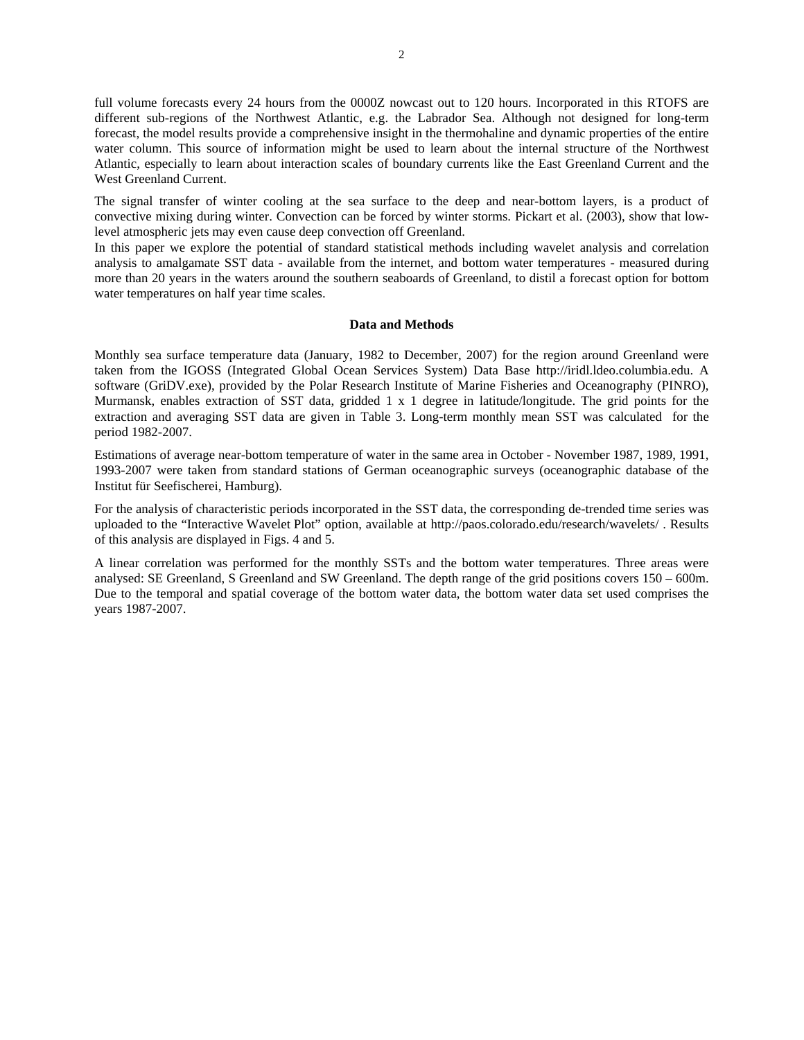full volume forecasts every 24 hours from the 0000Z nowcast out to 120 hours. Incorporated in this RTOFS are different sub-regions of the Northwest Atlantic, e.g. the Labrador Sea. Although not designed for long-term forecast, the model results provide a comprehensive insight in the thermohaline and dynamic properties of the entire water column. This source of information might be used to learn about the internal structure of the Northwest Atlantic, especially to learn about interaction scales of boundary currents like the East Greenland Current and the West Greenland Current.

The signal transfer of winter cooling at the sea surface to the deep and near-bottom layers, is a product of convective mixing during winter. Convection can be forced by winter storms. Pickart et al. (2003), show that lowlevel atmospheric jets may even cause deep convection off Greenland.

In this paper we explore the potential of standard statistical methods including wavelet analysis and correlation analysis to amalgamate SST data - available from the internet, and bottom water temperatures - measured during more than 20 years in the waters around the southern seaboards of Greenland, to distil a forecast option for bottom water temperatures on half year time scales.

#### **Data and Methods**

Monthly sea surface temperature data (January, 1982 to December, 2007) for the region around Greenland were taken from the IGOSS (Integrated Global Ocean Services System) Data Base http://iridl.ldeo.columbia.edu. A software (GriDV.exe), provided by the Polar Research Institute of Marine Fisheries and Oceanography (PINRO), Murmansk, enables extraction of SST data, gridded 1 x 1 degree in latitude/longitude. The grid points for the extraction and averaging SST data are given in Table 3. Long-term monthly mean SST was calculated for the period 1982-2007.

Estimations of average near-bottom temperature of water in the same area in October - November 1987, 1989, 1991, 1993-2007 were taken from standard stations of German oceanographic surveys (oceanographic database of the Institut für Seefischerei, Hamburg).

For the analysis of characteristic periods incorporated in the SST data, the corresponding de-trended time series was uploaded to the "Interactive Wavelet Plot" option, available at http://paos.colorado.edu/research/wavelets/ . Results of this analysis are displayed in Figs. 4 and 5.

A linear correlation was performed for the monthly SSTs and the bottom water temperatures. Three areas were analysed: SE Greenland, S Greenland and SW Greenland. The depth range of the grid positions covers 150 – 600m. Due to the temporal and spatial coverage of the bottom water data, the bottom water data set used comprises the years 1987-2007.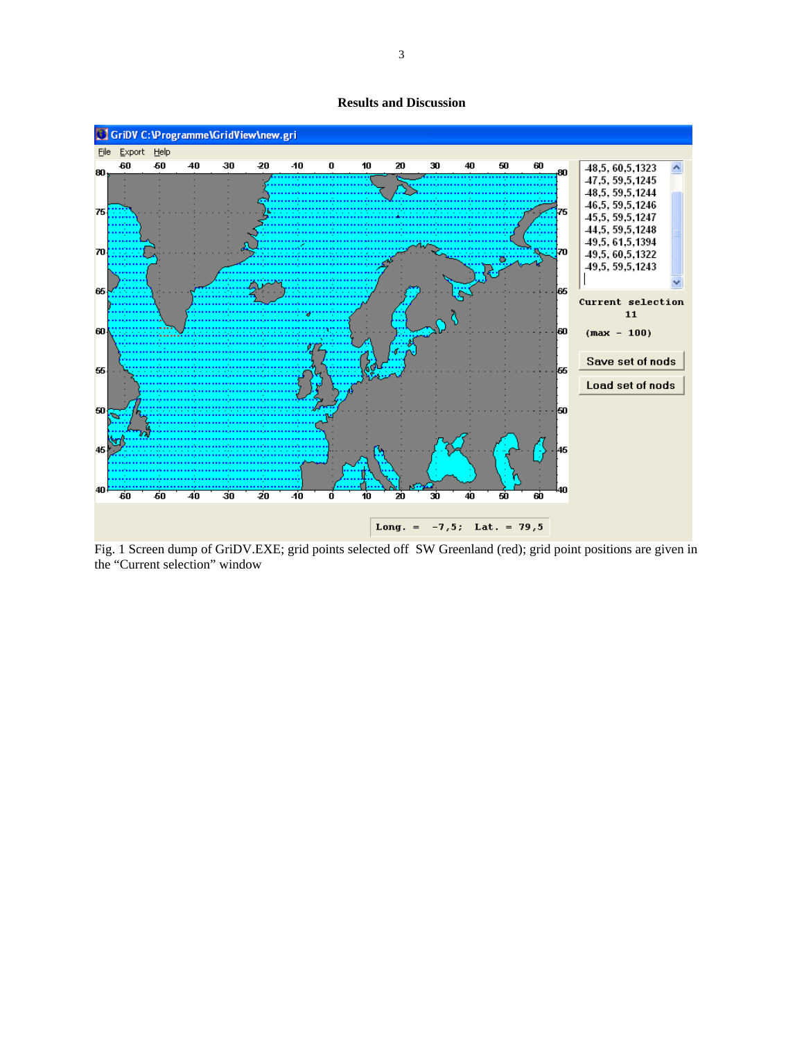**Results and Discussion** 



Fig. 1 Screen dump of GriDV.EXE; grid points selected off SW Greenland (red); grid point positions are given in the "Current selection" window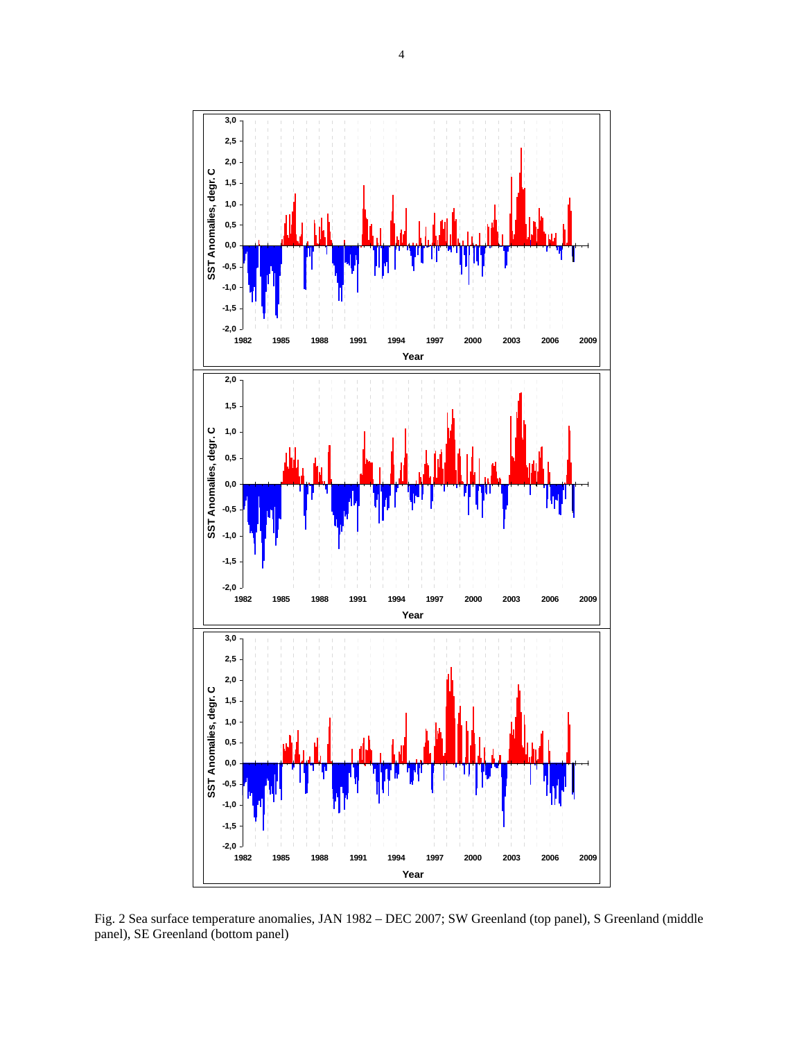

Fig. 2 Sea surface temperature anomalies, JAN 1982 – DEC 2007; SW Greenland (top panel), S Greenland (middle panel), SE Greenland (bottom panel)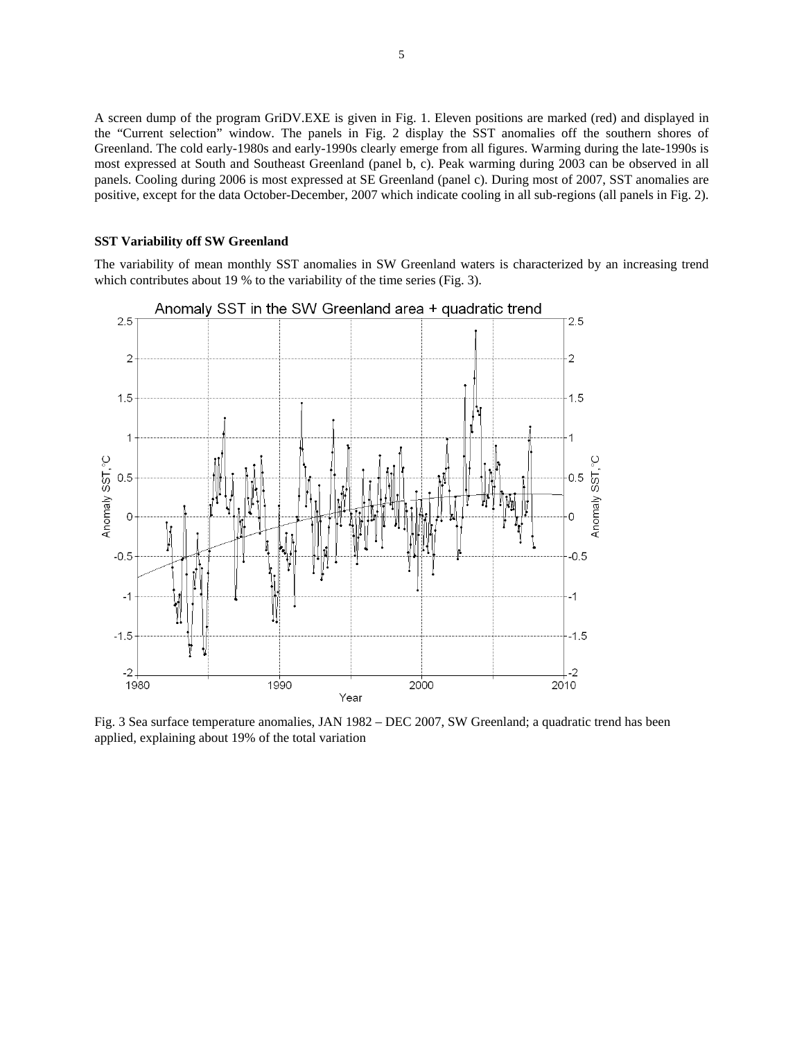A screen dump of the program GriDV.EXE is given in Fig. 1. Eleven positions are marked (red) and displayed in the "Current selection" window. The panels in Fig. 2 display the SST anomalies off the southern shores of Greenland. The cold early-1980s and early-1990s clearly emerge from all figures. Warming during the late-1990s is most expressed at South and Southeast Greenland (panel b, c). Peak warming during 2003 can be observed in all panels. Cooling during 2006 is most expressed at SE Greenland (panel c). During most of 2007, SST anomalies are positive, except for the data October-December, 2007 which indicate cooling in all sub-regions (all panels in Fig. 2).

#### **SST Variability off SW Greenland**

The variability of mean monthly SST anomalies in SW Greenland waters is characterized by an increasing trend which contributes about 19 % to the variability of the time series (Fig. 3).



Fig. 3 Sea surface temperature anomalies, JAN 1982 – DEC 2007, SW Greenland; a quadratic trend has been applied, explaining about 19% of the total variation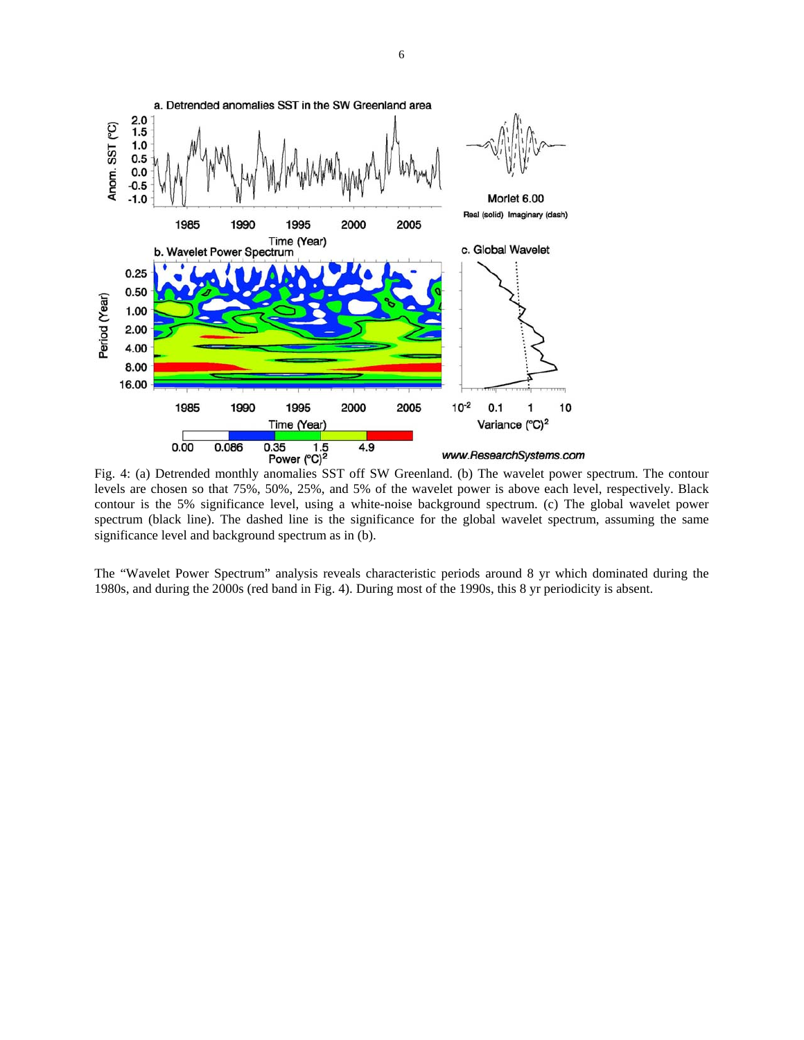

Fig. 4: (a) Detrended monthly anomalies SST off SW Greenland. (b) The wavelet power spectrum. The contour levels are chosen so that 75%, 50%, 25%, and 5% of the wavelet power is above each level, respectively. Black contour is the 5% significance level, using a white-noise background spectrum. (c) The global wavelet power spectrum (black line). The dashed line is the significance for the global wavelet spectrum, assuming the same significance level and background spectrum as in (b).

The "Wavelet Power Spectrum" analysis reveals characteristic periods around 8 yr which dominated during the 1980s, and during the 2000s (red band in Fig. 4). During most of the 1990s, this 8 yr periodicity is absent.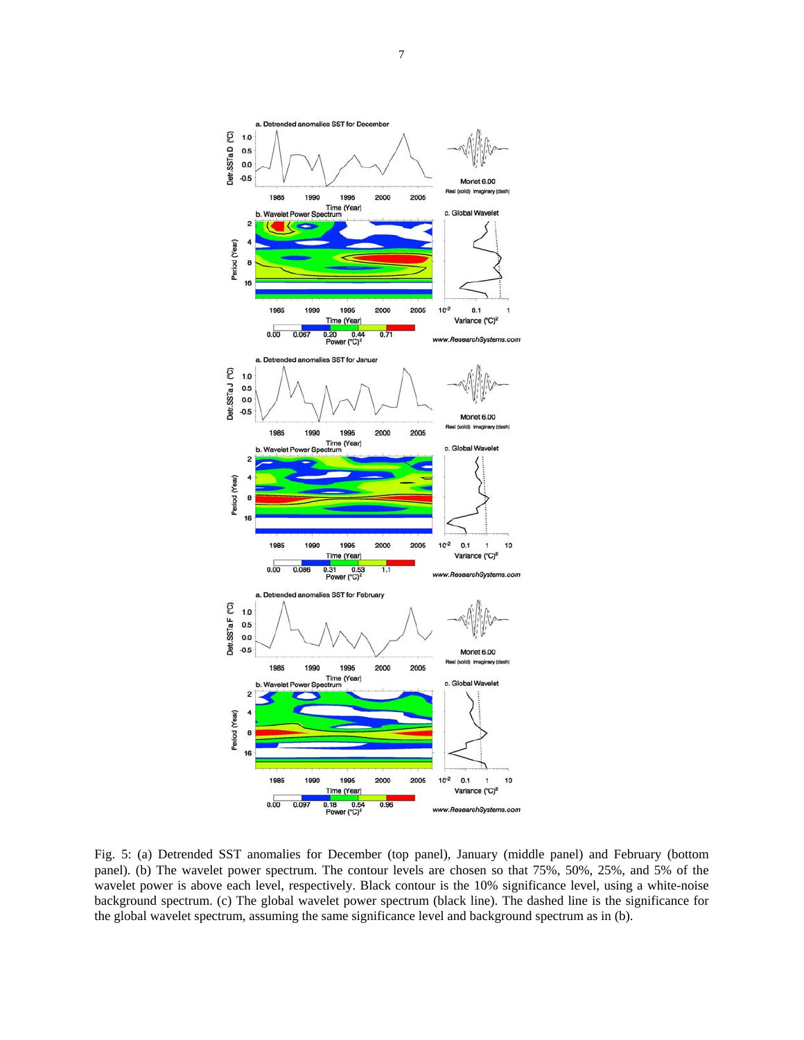

Fig. 5: (a) Detrended SST anomalies for December (top panel), January (middle panel) and February (bottom panel). (b) The wavelet power spectrum. The contour levels are chosen so that 75%, 50%, 25%, and 5% of the wavelet power is above each level, respectively. Black contour is the 10% significance level, using a white-noise background spectrum. (c) The global wavelet power spectrum (black line). The dashed line is the significance for the global wavelet spectrum, assuming the same significance level and background spectrum as in (b).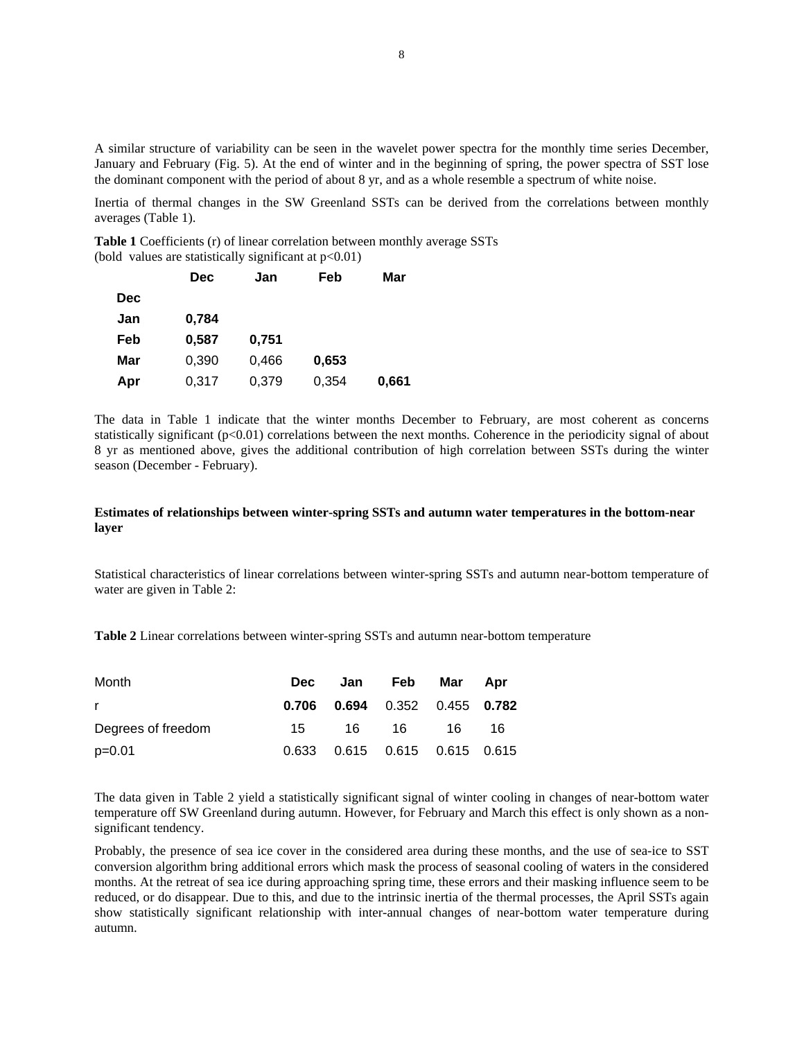A similar structure of variability can be seen in the wavelet power spectra for the monthly time series December, January and February (Fig. 5). At the end of winter and in the beginning of spring, the power spectra of SST lose the dominant component with the period of about 8 yr, and as a whole resemble a spectrum of white noise.

Inertia of thermal changes in the SW Greenland SSTs can be derived from the correlations between monthly averages (Table 1).

**Table 1** Coefficients (r) of linear correlation between monthly average SSTs (bold values are statistically significant at  $p<0.01$ )

|            | Dec   | Jan   | Feb   | Mar   |
|------------|-------|-------|-------|-------|
| <b>Dec</b> |       |       |       |       |
| Jan        | 0,784 |       |       |       |
| Feb        | 0,587 | 0,751 |       |       |
| Mar        | 0,390 | 0,466 | 0,653 |       |
| Apr        | 0,317 | 0,379 | 0,354 | 0,661 |

The data in Table 1 indicate that the winter months December to February, are most coherent as concerns statistically significant ( $p<0.01$ ) correlations between the next months. Coherence in the periodicity signal of about 8 yr as mentioned above, gives the additional contribution of high correlation between SSTs during the winter season (December - February).

## **Estimates of relationships between winter-spring SSTs and autumn water temperatures in the bottom-near layer**

Statistical characteristics of linear correlations between winter-spring SSTs and autumn near-bottom temperature of water are given in Table 2:

**Table 2** Linear correlations between winter-spring SSTs and autumn near-bottom temperature

| Month              | <b>Dec</b> | Jan Feb                           | Mar  | Apr |
|--------------------|------------|-----------------------------------|------|-----|
| r.                 | 0.706      | $0.694$ $0.352$ $0.455$ $0.782$   |      |     |
| Degrees of freedom | 15         | 16 16                             | 16 - | -16 |
| $p=0.01$           |            | 0.633  0.615  0.615  0.615  0.615 |      |     |

The data given in Table 2 yield a statistically significant signal of winter cooling in changes of near-bottom water temperature off SW Greenland during autumn. However, for February and March this effect is only shown as a nonsignificant tendency.

Probably, the presence of sea ice cover in the considered area during these months, and the use of sea-ice to SST conversion algorithm bring additional errors which mask the process of seasonal cooling of waters in the considered months. At the retreat of sea ice during approaching spring time, these errors and their masking influence seem to be reduced, or do disappear. Due to this, and due to the intrinsic inertia of the thermal processes, the April SSTs again show statistically significant relationship with inter-annual changes of near-bottom water temperature during autumn.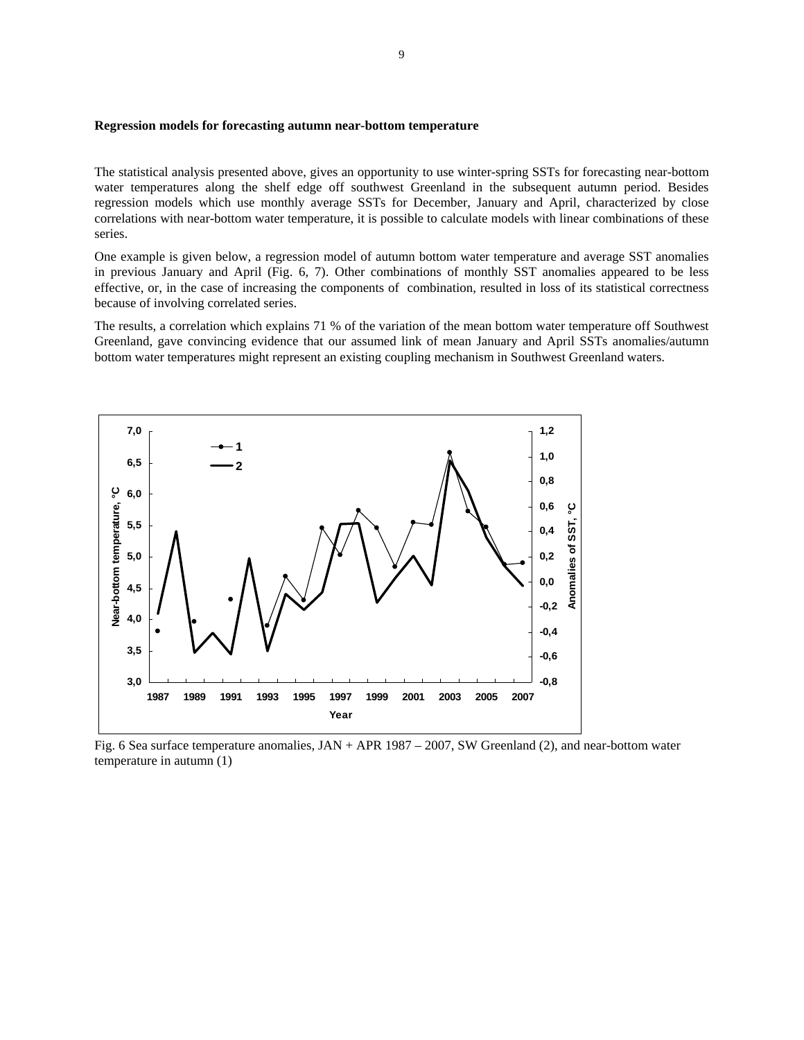#### **Regression models for forecasting autumn near-bottom temperature**

The statistical analysis presented above, gives an opportunity to use winter-spring SSTs for forecasting near-bottom water temperatures along the shelf edge off southwest Greenland in the subsequent autumn period. Besides regression models which use monthly average SSTs for December, January and April, characterized by close correlations with near-bottom water temperature, it is possible to calculate models with linear combinations of these series.

One example is given below, a regression model of autumn bottom water temperature and average SST anomalies in previous January and April (Fig. 6, 7). Other combinations of monthly SST anomalies appeared to be less effective, or, in the case of increasing the components of combination, resulted in loss of its statistical correctness because of involving correlated series.

The results, a correlation which explains 71 % of the variation of the mean bottom water temperature off Southwest Greenland, gave convincing evidence that our assumed link of mean January and April SSTs anomalies/autumn bottom water temperatures might represent an existing coupling mechanism in Southwest Greenland waters.



Fig. 6 Sea surface temperature anomalies, JAN + APR 1987 – 2007, SW Greenland (2), and near-bottom water temperature in autumn (1)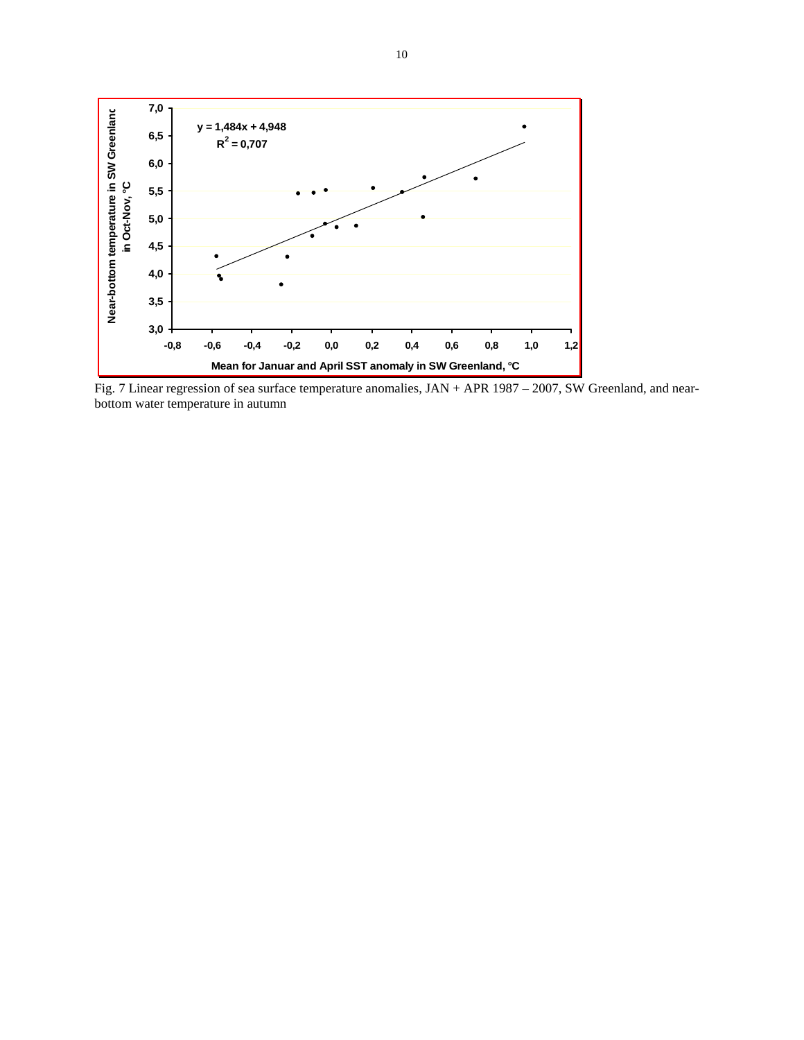

Fig. 7 Linear regression of sea surface temperature anomalies, JAN + APR 1987 – 2007, SW Greenland, and nearbottom water temperature in autumn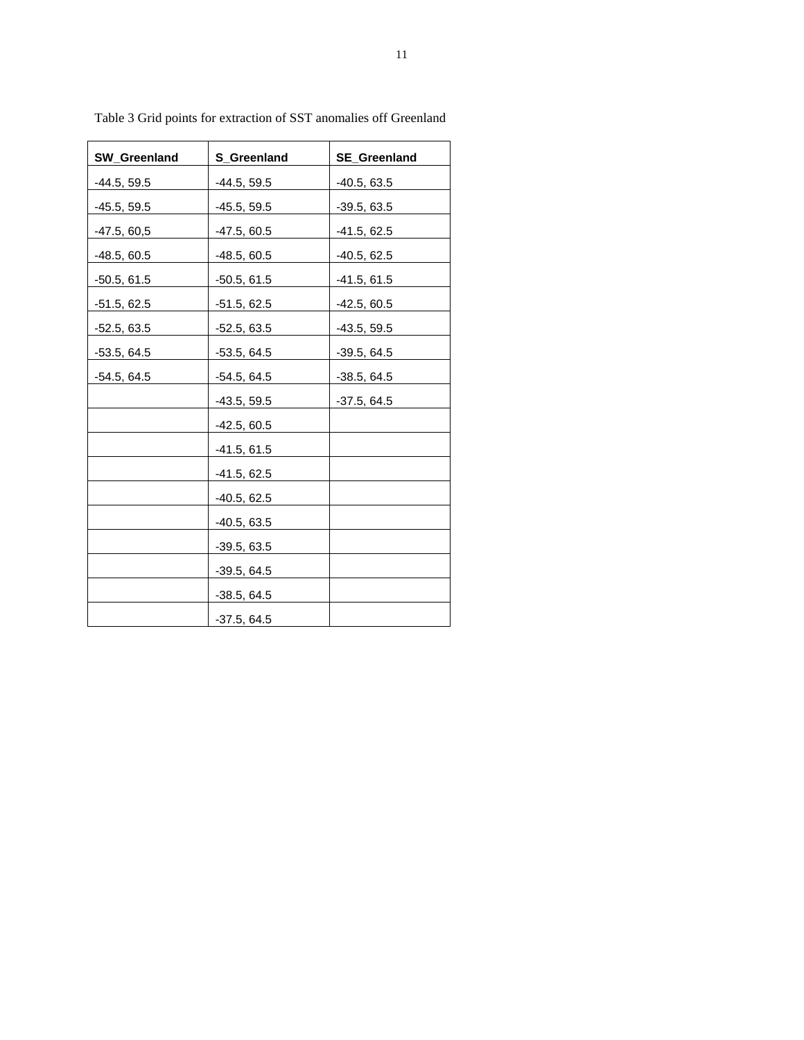| SW_Greenland   | <b>S_Greenland</b> | <b>SE_Greenland</b> |  |  |
|----------------|--------------------|---------------------|--|--|
| $-44.5, 59.5$  | $-44.5, 59.5$      | $-40.5, 63.5$       |  |  |
| $-45.5, 59.5$  | $-45.5, 59.5$      | $-39.5, 63.5$       |  |  |
| $-47.5, 60, 5$ | $-47.5, 60.5$      | $-41.5, 62.5$       |  |  |
| $-48.5, 60.5$  | $-48.5, 60.5$      | $-40.5, 62.5$       |  |  |
| $-50.5, 61.5$  | $-50.5, 61.5$      | $-41.5, 61.5$       |  |  |
| $-51.5, 62.5$  | $-51.5, 62.5$      | $-42.5, 60.5$       |  |  |
| $-52.5, 63.5$  | $-52.5, 63.5$      | $-43.5, 59.5$       |  |  |
| $-53.5, 64.5$  | $-53.5, 64.5$      | $-39.5, 64.5$       |  |  |
| $-54.5, 64.5$  | $-54.5, 64.5$      | $-38.5, 64.5$       |  |  |
|                | $-43.5, 59.5$      | $-37.5, 64.5$       |  |  |
|                | $-42.5, 60.5$      |                     |  |  |
|                | $-41.5, 61.5$      |                     |  |  |
|                | $-41.5, 62.5$      |                     |  |  |
|                | $-40.5, 62.5$      |                     |  |  |
|                | $-40.5, 63.5$      |                     |  |  |
|                | $-39.5, 63.5$      |                     |  |  |
|                | $-39.5, 64.5$      |                     |  |  |
|                | $-38.5, 64.5$      |                     |  |  |
|                | $-37.5, 64.5$      |                     |  |  |

Table 3 Grid points for extraction of SST anomalies off Greenland